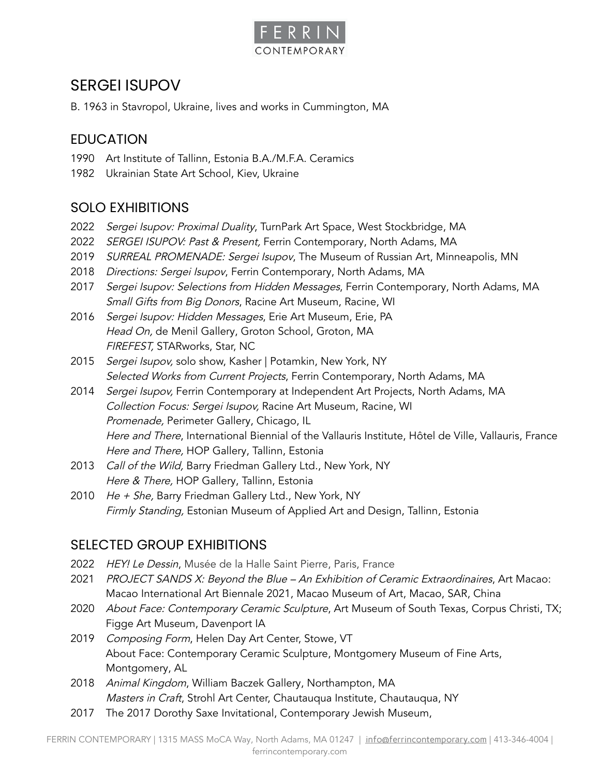

# SERGEI ISUPOV

B. 1963 in Stavropol, Ukraine, lives and works in Cummington, MA

## EDUCATION

- 1990 Art Institute of Tallinn, Estonia B.A./M.F.A. Ceramics
- 1982 Ukrainian State Art School, Kiev, Ukraine

## SOLO EXHIBITIONS

- 2022 Sergei Isupov: Proximal Duality, TurnPark Art Space, West Stockbridge, MA
- 2022 SERGEI ISUPOV: Past & Present, Ferrin Contemporary, North Adams, MA
- 2019 SURREAL PROMENADE: Sergei Isupov, The Museum of Russian Art, Minneapolis, MN
- 2018 Directions: Sergei Isupov, Ferrin Contemporary, North Adams, MA
- 2017 Sergei Isupov: Selections from Hidden Messages, Ferrin Contemporary, North Adams, MA Small Gifts from Big Donors, Racine Art Museum, Racine, WI
- 2016 Sergei Isupov: Hidden Messages, Erie Art Museum, Erie, PA Head On, de Menil Gallery, Groton School, Groton, MA FIREFEST, STARworks, Star, NC
- 2015 Sergei Isupov, solo show, Kasher | Potamkin, New York, NY Selected Works from Current Projects, Ferrin Contemporary, North Adams, MA
- 2014 Sergei Isupov, Ferrin Contemporary at Independent Art Projects, North Adams, MA Collection Focus: Sergei Isupov, Racine Art Museum, Racine, WI Promenade, Perimeter Gallery, Chicago, IL Here and There, International Biennial of the Vallauris Institute, Hôtel de Ville, Vallauris, France Here and There, HOP Gallery, Tallinn, Estonia
- 2013 Call of the Wild, Barry Friedman Gallery Ltd., New York, NY Here & There, HOP Gallery, Tallinn, Estonia
- 2010 He + She, Barry Friedman Gallery Ltd., New York, NY Firmly Standing, Estonian Museum of Applied Art and Design, Tallinn, Estonia

## SELECTED GROUP EXHIBITIONS

- 2022 HEY! Le Dessin, Musée de la Halle Saint Pierre, Paris, France
- 2021 PROJECT SANDS X: Beyond the Blue An Exhibition of Ceramic Extraordinaires, Art Macao: Macao International Art Biennale 2021, Macao Museum of Art, Macao, SAR, China
- 2020 About Face: Contemporary Ceramic Sculpture, Art Museum of South Texas, Corpus Christi, TX; Figge Art Museum, Davenport IA
- 2019 Composing Form, Helen Day Art Center, Stowe, VT About Face: Contemporary Ceramic Sculpture, Montgomery Museum of Fine Arts, Montgomery, AL
- 2018 Animal Kingdom, William Baczek Gallery, Northampton, MA Masters in Craft, Strohl Art Center, Chautauqua Institute, Chautauqua, NY
- 2017 The 2017 Dorothy Saxe Invitational, Contemporary Jewish Museum,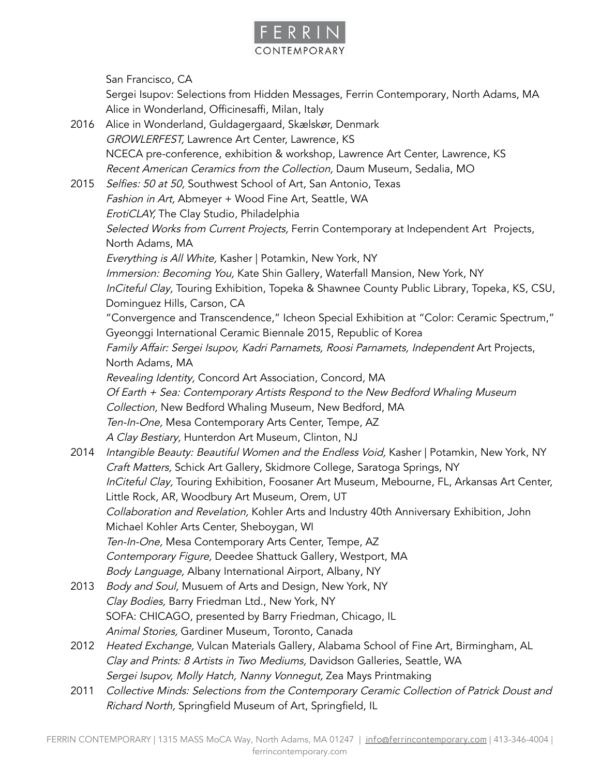

San Francisco, CA Sergei Isupov: Selections from Hidden Messages, Ferrin Contemporary, North Adams, MA Alice in Wonderland, Officinesaffi, Milan, Italy 2016 Alice in Wonderland, Guldagergaard, Skælskør, Denmark GROWLERFEST, Lawrence Art Center, Lawrence, KS NCECA pre-conference, exhibition & workshop, Lawrence Art Center, Lawrence, KS Recent American Ceramics from the Collection, Daum Museum, Sedalia, MO 2015 Selfies: 50 at 50, Southwest School of Art, San Antonio, Texas Fashion in Art, Abmeyer + Wood Fine Art, Seattle, WA ErotiCLAY, The Clay Studio, Philadelphia Selected Works from Current Projects, Ferrin Contemporary at Independent Art Projects, North Adams, MA Everything is All White, Kasher | Potamkin, New York, NY Immersion: Becoming You, Kate Shin Gallery, Waterfall Mansion, New York, NY InCiteful Clay, Touring Exhibition, Topeka & Shawnee County Public Library, Topeka, KS, CSU, Dominguez Hills, Carson, CA "Convergence and Transcendence," Icheon Special Exhibition at "Color: Ceramic Spectrum," Gyeonggi International Ceramic Biennale 2015, Republic of Korea Family Affair: Sergei Isupov, Kadri Parnamets, Roosi Parnamets, Independent Art Projects, North Adams, MA Revealing Identity, Concord Art Association, Concord, MA Of Earth <sup>+</sup> Sea: Contemporary Artists Respond to the New Bedford Whaling Museum Collection, New Bedford Whaling Museum, New Bedford, MA Ten-In-One, Mesa Contemporary Arts Center, Tempe, AZ A Clay Bestiary, Hunterdon Art Museum, Clinton, NJ 2014 Intangible Beauty: Beautiful Women and the Endless Void, Kasher | Potamkin, New York, NY Craft Matters, Schick Art Gallery, Skidmore College, Saratoga Springs, NY InCiteful Clay, Touring Exhibition, Foosaner Art Museum, Mebourne, FL, Arkansas Art Center, Little Rock, AR, Woodbury Art Museum, Orem, UT Collaboration and Revelation, Kohler Arts and Industry 40th Anniversary Exhibition, John Michael Kohler Arts Center, Sheboygan, WI Ten-In-One, Mesa Contemporary Arts Center, Tempe, AZ Contemporary Figure, Deedee Shattuck Gallery, Westport, MA Body Language, Albany International Airport, Albany, NY 2013 Body and Soul, Musuem of Arts and Design, New York, NY Clay Bodies, Barry Friedman Ltd., New York, NY SOFA: CHICAGO, presented by Barry Friedman, Chicago, IL Animal Stories, Gardiner Museum, Toronto, Canada 2012 Heated Exchange, Vulcan Materials Gallery, Alabama School of Fine Art, Birmingham, AL Clay and Prints: 8 Artists in Two Mediums, Davidson Galleries, Seattle, WA Sergei Isupov, Molly Hatch, Nanny Vonnegut, Zea Mays Printmaking 2011 Collective Minds: Selections from the Contemporary Ceramic Collection of Patrick Doust and Richard North, Springfield Museum of Art, Springfield, IL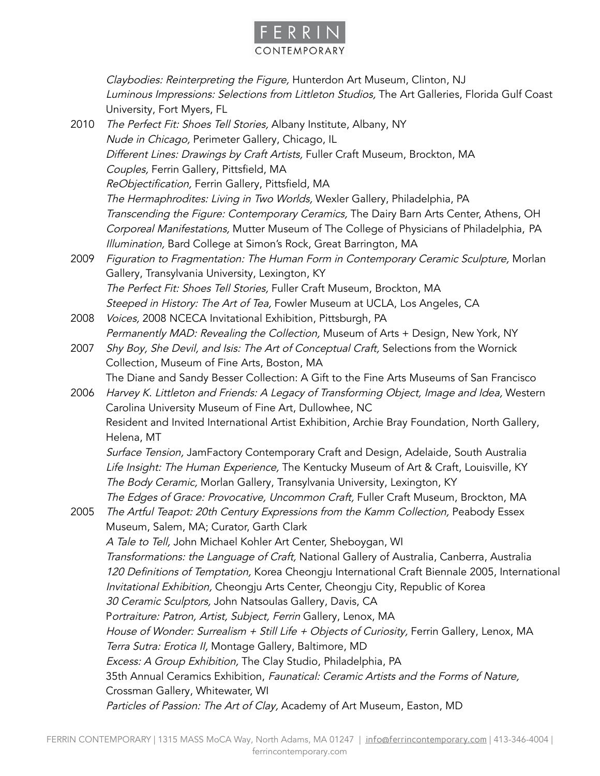

Claybodies: Reinterpreting the Figure, Hunterdon Art Museum, Clinton, NJ Luminous Impressions: Selections from Littleton Studios, The Art Galleries, Florida Gulf Coast University, Fort Myers, FL 2010 The Perfect Fit: Shoes Tell Stories, Albany Institute, Albany, NY Nude in Chicago, Perimeter Gallery, Chicago, IL Different Lines: Drawings by Craft Artists, Fuller Craft Museum, Brockton, MA Couples, Ferrin Gallery, Pittsfield, MA ReObjectification, Ferrin Gallery, Pittsfield, MA The Hermaphrodites: Living in Two Worlds, Wexler Gallery, Philadelphia, PA Transcending the Figure: Contemporary Ceramics, The Dairy Barn Arts Center, Athens, OH Corporeal Manifestations, Mutter Museum of The College of Physicians of Philadelphia, PA Illumination, Bard College at Simon's Rock, Great Barrington, MA 2009 Figuration to Fragmentation: The Human Form in Contemporary Ceramic Sculpture, Morlan Gallery, Transylvania University, Lexington, KY The Perfect Fit: Shoes Tell Stories, Fuller Craft Museum, Brockton, MA Steeped in History: The Art of Tea, Fowler Museum at UCLA, Los Angeles, CA 2008 Voices, 2008 NCECA Invitational Exhibition, Pittsburgh, PA Permanently MAD: Revealing the Collection, Museum of Arts + Design, New York, NY 2007 Shy Boy, She Devil, and Isis: The Art of Conceptual Craft, Selections from the Wornick Collection, Museum of Fine Arts, Boston, MA The Diane and Sandy Besser Collection: A Gift to the Fine Arts Museums of San Francisco 2006 Harvey K. Littleton and Friends: A Legacy of Transforming Object, Image and Idea, Western Carolina University Museum of Fine Art, Dullowhee, NC Resident and Invited International Artist Exhibition, Archie Bray Foundation, North Gallery, Helena, MT Surface Tension, JamFactory Contemporary Craft and Design, Adelaide, South Australia Life Insight: The Human Experience, The Kentucky Museum of Art & Craft, Louisville, KY The Body Ceramic, Morlan Gallery, Transylvania University, Lexington, KY The Edges of Grace: Provocative, Uncommon Craft, Fuller Craft Museum, Brockton, MA 2005 The Artful Teapot: 20th Century Expressions from the Kamm Collection, Peabody Essex Museum, Salem, MA; Curator, Garth Clark A Tale to Tell, John Michael Kohler Art Center, Sheboygan, WI Transformations: the Language of Craft, National Gallery of Australia, Canberra, Australia 120 Definitions of Temptation, Korea Cheongju International Craft Biennale 2005, International Invitational Exhibition, Cheongju Arts Center, Cheongju City, Republic of Korea 30 Ceramic Sculptors, John Natsoulas Gallery, Davis, CA Portraiture: Patron, Artist, Subject, Ferrin Gallery, Lenox, MA House of Wonder: Surrealism + Still Life + Objects of Curiosity, Ferrin Gallery, Lenox, MA Terra Sutra: Erotica II, Montage Gallery, Baltimore, MD Excess: <sup>A</sup> Group Exhibition, The Clay Studio, Philadelphia, PA 35th Annual Ceramics Exhibition, Faunatical: Ceramic Artists and the Forms of Nature, Crossman Gallery, Whitewater, WI Particles of Passion: The Art of Clay, Academy of Art Museum, Easton, MD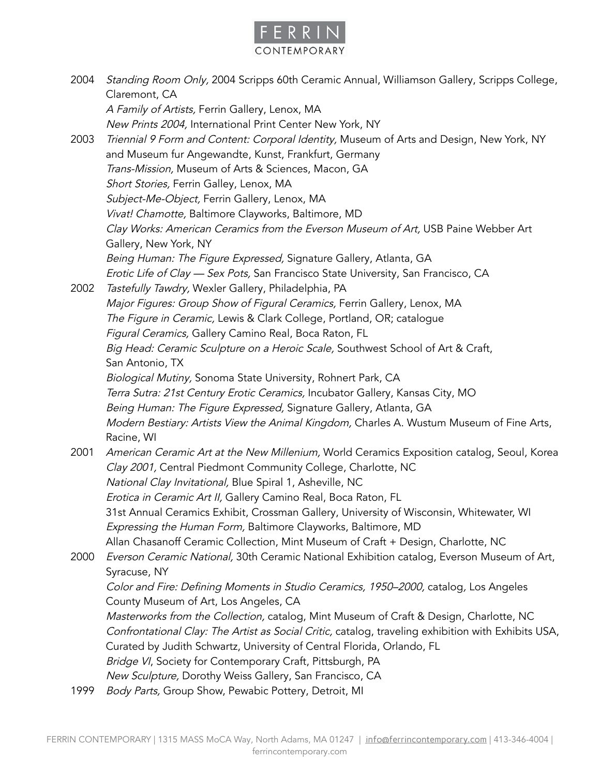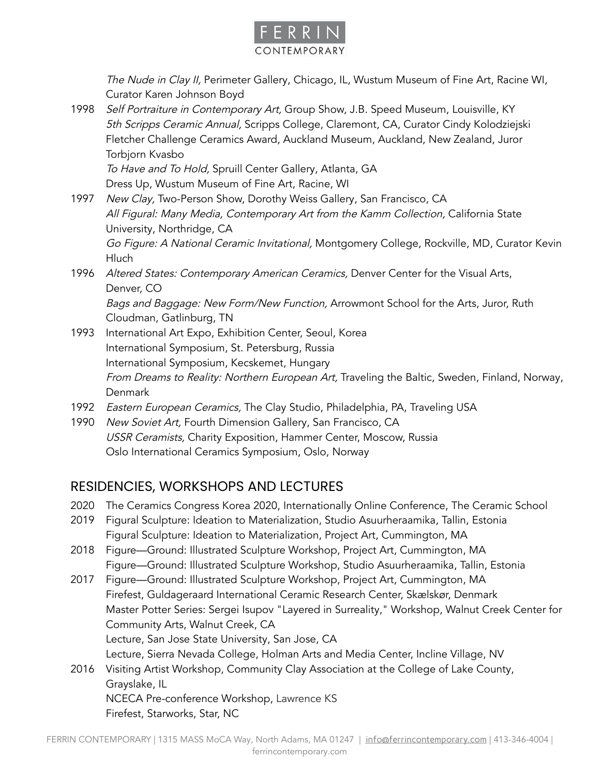

The Nude in Clay II, Perimeter Gallery, Chicago, IL, Wustum Museum of Fine Art, Racine WI, Curator Karen Johnson Boyd

- 1998 Self Portraiture in Contemporary Art, Group Show, J.B. Speed Museum, Louisville, KY 5th Scripps Ceramic Annual, Scripps College, Claremont, CA, Curator Cindy Kolodziejski Fletcher Challenge Ceramics Award, Auckland Museum, Auckland, New Zealand, Juror Torbjorn Kvasbo To Have and To Hold, Spruill Center Gallery, Atlanta, GA Dress Up, Wustum Museum of Fine Art, Racine, WI
- 1997 New Clay, Two-Person Show, Dorothy Weiss Gallery, San Francisco, CA All Figural: Many Media, Contemporary Art from the Kamm Collection, California State University, Northridge, CA Go Figure: A National Ceramic Invitational, Montgomery College, Rockville, MD, Curator Kevin Hluch
- 1996 Altered States: Contemporary American Ceramics, Denver Center for the Visual Arts, Denver, CO Bags and Baggage: New Form/New Function, Arrowmont School for the Arts, Juror, Ruth Cloudman, Gatlinburg, TN
- 1993 International Art Expo, Exhibition Center, Seoul, Korea International Symposium, St. Petersburg, Russia International Symposium, Kecskemet, Hungary From Dreams to Reality: Northern European Art, Traveling the Baltic, Sweden, Finland, Norway, Denmark
- 1992 Eastern European Ceramics, The Clay Studio, Philadelphia, PA, Traveling USA
- 1990 New Soviet Art, Fourth Dimension Gallery, San Francisco, CA USSR Ceramists, Charity Exposition, Hammer Center, Moscow, Russia Oslo International Ceramics Symposium, Oslo, Norway

## RESIDENCIES, WORKSHOPS AND LECTURES

- 2020 The Ceramics Congress Korea 2020, Internationally Online Conference, The Ceramic School
- 2019 Figural Sculpture: Ideation to Materialization, Studio Asuurheraamika, Tallin, Estonia Figural Sculpture: Ideation to Materialization, Project Art, Cummington, MA
- 2018 Figure—Ground: Illustrated Sculpture Workshop, Project Art, Cummington, MA Figure—Ground: Illustrated Sculpture Workshop, Studio Asuurheraamika, Tallin, Estonia
- 2017 Figure—Ground: Illustrated Sculpture Workshop, Project Art, Cummington, MA Firefest, Guldageraard International Ceramic Research Center, Skælskør, Denmark Master Potter Series: Sergei Isupov "Layered in Surreality," Workshop, Walnut Creek Center for Community Arts, Walnut Creek, CA Lecture, San Jose State University, San Jose, CA
	- Lecture, Sierra Nevada College, Holman Arts and Media Center, Incline Village, NV
- 2016 Visiting Artist Workshop, Community Clay Association at the College of Lake County, Grayslake, IL NCECA Pre-conference Workshop, Lawrence KS Firefest, Starworks, Star, NC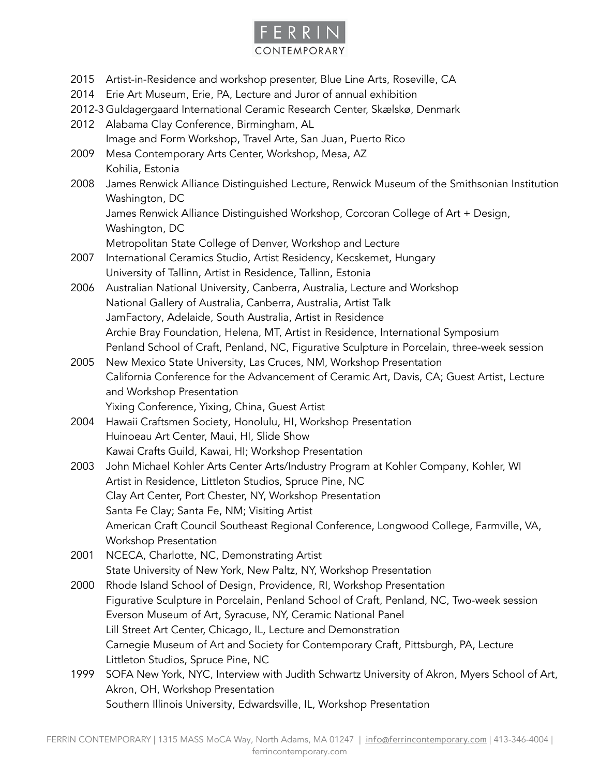

- 2015 Artist-in-Residence and workshop presenter, Blue Line Arts, Roseville, CA
- 2014 Erie Art Museum, Erie, PA, Lecture and Juror of annual exhibition
- 2012-3 Guldagergaard International Ceramic Research Center, Skælskø, Denmark
- 2012 Alabama Clay Conference, Birmingham, AL Image and Form Workshop, Travel Arte, San Juan, Puerto Rico
- 2009 Mesa Contemporary Arts Center, Workshop, Mesa, AZ Kohilia, Estonia
- 2008 James Renwick Alliance Distinguished Lecture, Renwick Museum of the Smithsonian Institution Washington, DC
	- James Renwick Alliance Distinguished Workshop, Corcoran College of Art + Design, Washington, DC
	- Metropolitan State College of Denver, Workshop and Lecture
- 2007 International Ceramics Studio, Artist Residency, Kecskemet, Hungary University of Tallinn, Artist in Residence, Tallinn, Estonia
- 2006 Australian National University, Canberra, Australia, Lecture and Workshop National Gallery of Australia, Canberra, Australia, Artist Talk JamFactory, Adelaide, South Australia, Artist in Residence Archie Bray Foundation, Helena, MT, Artist in Residence, International Symposium Penland School of Craft, Penland, NC, Figurative Sculpture in Porcelain, three-week session
- 2005 New Mexico State University, Las Cruces, NM, Workshop Presentation California Conference for the Advancement of Ceramic Art, Davis, CA; Guest Artist, Lecture and Workshop Presentation Yixing Conference, Yixing, China, Guest Artist
- 2004 Hawaii Craftsmen Society, Honolulu, HI, Workshop Presentation Huinoeau Art Center, Maui, HI, Slide Show Kawai Crafts Guild, Kawai, HI; Workshop Presentation
- 2003 John Michael Kohler Arts Center Arts/Industry Program at Kohler Company, Kohler, WI Artist in Residence, Littleton Studios, Spruce Pine, NC Clay Art Center, Port Chester, NY, Workshop Presentation Santa Fe Clay; Santa Fe, NM; Visiting Artist American Craft Council Southeast Regional Conference, Longwood College, Farmville, VA, Workshop Presentation
- 2001 NCECA, Charlotte, NC, Demonstrating Artist State University of New York, New Paltz, NY, Workshop Presentation
- 2000 Rhode Island School of Design, Providence, RI, Workshop Presentation Figurative Sculpture in Porcelain, Penland School of Craft, Penland, NC, Two-week session Everson Museum of Art, Syracuse, NY, Ceramic National Panel Lill Street Art Center, Chicago, IL, Lecture and Demonstration Carnegie Museum of Art and Society for Contemporary Craft, Pittsburgh, PA, Lecture Littleton Studios, Spruce Pine, NC
- 1999 SOFA New York, NYC, Interview with Judith Schwartz University of Akron, Myers School of Art, Akron, OH, Workshop Presentation Southern Illinois University, Edwardsville, IL, Workshop Presentation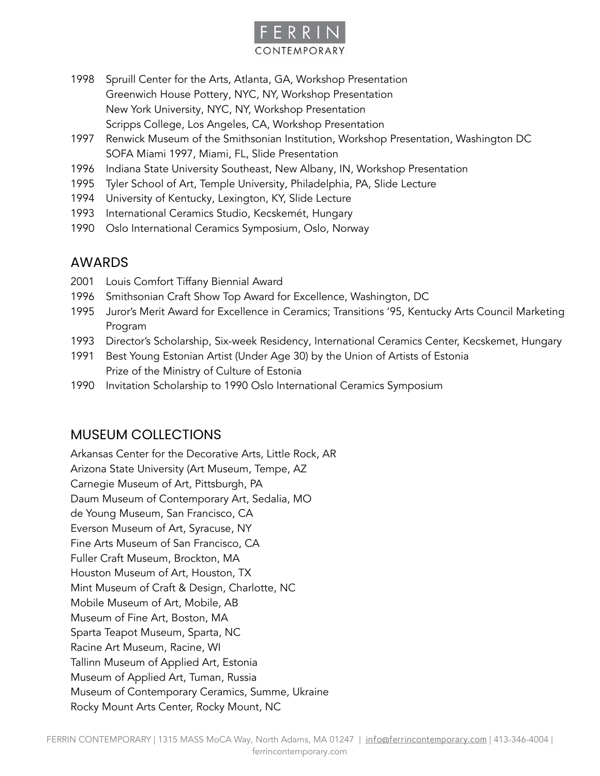

- 1998 Spruill Center for the Arts, Atlanta, GA, Workshop Presentation Greenwich House Pottery, NYC, NY, Workshop Presentation New York University, NYC, NY, Workshop Presentation Scripps College, Los Angeles, CA, Workshop Presentation
- 1997 Renwick Museum of the Smithsonian Institution, Workshop Presentation, Washington DC SOFA Miami 1997, Miami, FL, Slide Presentation
- 1996 Indiana State University Southeast, New Albany, IN, Workshop Presentation
- 1995 Tyler School of Art, Temple University, Philadelphia, PA, Slide Lecture
- 1994 University of Kentucky, Lexington, KY, Slide Lecture
- 1993 International Ceramics Studio, Kecskemét, Hungary
- 1990 Oslo International Ceramics Symposium, Oslo, Norway

#### AWARDS

- 2001 Louis Comfort Tiffany Biennial Award
- 1996 Smithsonian Craft Show Top Award for Excellence, Washington, DC
- 1995 Juror's Merit Award for Excellence in Ceramics; Transitions '95, Kentucky Arts Council Marketing Program
- 1993 Director's Scholarship, Six-week Residency, International Ceramics Center, Kecskemet, Hungary
- 1991 Best Young Estonian Artist (Under Age 30) by the Union of Artists of Estonia Prize of the Ministry of Culture of Estonia
- 1990 Invitation Scholarship to 1990 Oslo International Ceramics Symposium

## MUSEUM COLLECTIONS

Arkansas Center for the Decorative Arts, Little Rock, AR Arizona State University (Art Museum, Tempe, AZ Carnegie Museum of Art, Pittsburgh, PA Daum Museum of Contemporary Art, Sedalia, MO de Young Museum, San Francisco, CA Everson Museum of Art, Syracuse, NY Fine Arts Museum of San Francisco, CA Fuller Craft Museum, Brockton, MA Houston Museum of Art, Houston, TX Mint Museum of Craft & Design, Charlotte, NC Mobile Museum of Art, Mobile, AB Museum of Fine Art, Boston, MA Sparta Teapot Museum, Sparta, NC Racine Art Museum, Racine, WI Tallinn Museum of Applied Art, Estonia Museum of Applied Art, Tuman, Russia Museum of Contemporary Ceramics, Summe, Ukraine Rocky Mount Arts Center, Rocky Mount, NC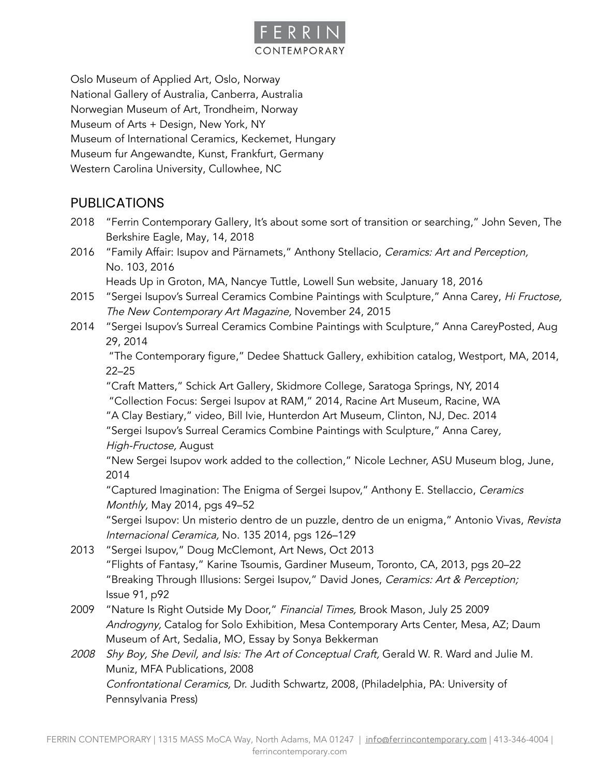

Oslo Museum of Applied Art, Oslo, Norway National Gallery of Australia, Canberra, Australia Norwegian Museum of Art, Trondheim, Norway Museum of Arts + Design, New York, NY Museum of International Ceramics, Keckemet, Hungary Museum fur Angewandte, Kunst, Frankfurt, Germany Western Carolina University, Cullowhee, NC

## PUBLICATIONS

- 2018 "Ferrin Contemporary Gallery, It's about some sort of transition or searching," John Seven, The Berkshire Eagle, May, 14, 2018
- 2016 "Family Affair: Isupov and Pärnamets," Anthony Stellacio, Ceramics: Art and Perception, No. 103, 2016

Heads Up in Groton, MA, Nancye Tuttle, Lowell Sun website, January 18, 2016

- 2015 "Sergei Isupov's Surreal Ceramics Combine Paintings with Sculpture," Anna Carey, Hi Fructose, The New Contemporary Art Magazine, November 24, 2015
- 2014 "Sergei Isupov's Surreal Ceramics Combine Paintings with Sculpture," Anna CareyPosted, Aug 29, 2014

"The Contemporary figure," Dedee Shattuck Gallery, exhibition catalog, Westport, MA, 2014, 22–25

"Craft Matters," Schick Art Gallery, Skidmore College, Saratoga Springs, NY, 2014 "Collection Focus: Sergei Isupov at RAM," 2014, Racine Art Museum, Racine, WA "A Clay Bestiary," video, Bill Ivie, Hunterdon Art Museum, Clinton, NJ, Dec. 2014 "Sergei Isupov's Surreal Ceramics Combine Paintings with Sculpture," Anna Carey, High-Fructose, August

"New Sergei Isupov work added to the collection," Nicole Lechner, ASU Museum blog, June, 2014

"Captured Imagination: The Enigma of Sergei Isupov," Anthony E. Stellaccio, Ceramics Monthly, May 2014, pgs 49–52

"Sergei Isupov: Un misterio dentro de un puzzle, dentro de un enigma," Antonio Vivas, Revista Internacional Ceramica, No. 135 2014, pgs 126–129

- 2013 "Sergei Isupov," Doug McClemont, Art News, Oct 2013 "Flights of Fantasy," Karine Tsoumis, Gardiner Museum, Toronto, CA, 2013, pgs 20–22 "Breaking Through Illusions: Sergei Isupov," David Jones, Ceramics: Art & Perception; Issue 91, p92
- 2009 "Nature Is Right Outside My Door," Financial Times, Brook Mason, July 25 2009 Androgyny, Catalog for Solo Exhibition, Mesa Contemporary Arts Center, Mesa, AZ; Daum Museum of Art, Sedalia, MO, Essay by Sonya Bekkerman
- 2008 Shy Boy, She Devil, and Isis: The Art of Conceptual Craft, Gerald W. R. Ward and Julie M. Muniz, MFA Publications, 2008 Confrontational Ceramics, Dr. Judith Schwartz, 2008, (Philadelphia, PA: University of Pennsylvania Press)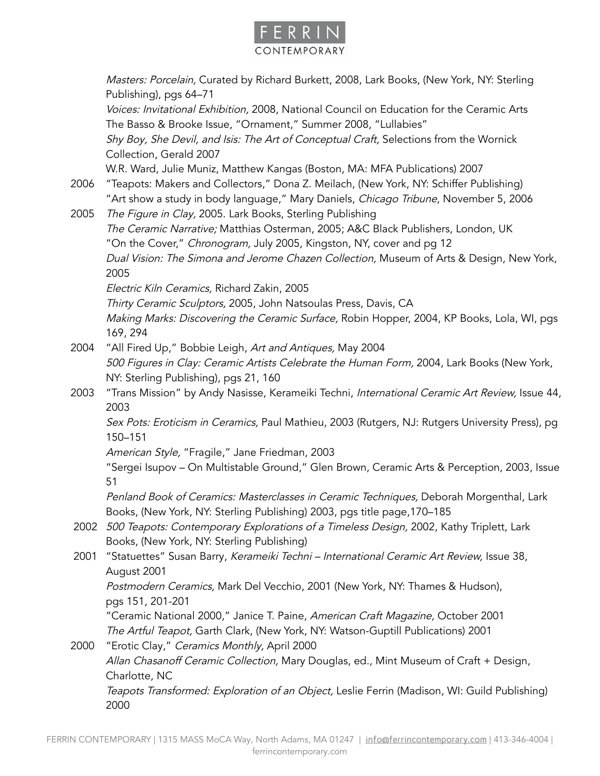

Masters: Porcelain, Curated by Richard Burkett, 2008, Lark Books, (New York, NY: Sterling Publishing), pgs 64–71 Voices: Invitational Exhibition, 2008, National Council on Education for the Ceramic Arts The Basso & Brooke Issue, "Ornament," Summer 2008, "Lullabies" Shy Boy, She Devil, and Isis: The Art of Conceptual Craft, Selections from the Wornick Collection, Gerald 2007 W.R. Ward, Julie Muniz, Matthew Kangas (Boston, MA: MFA Publications) 2007 2006 "Teapots: Makers and Collectors," Dona Z. Meilach, (New York, NY: Schiffer Publishing) "Art show a study in body language," Mary Daniels, Chicago Tribune, November 5, 2006 2005 The Figure in Clay, 2005. Lark Books, Sterling Publishing The Ceramic Narrative; Matthias Osterman, 2005; A&C Black Publishers, London, UK "On the Cover," Chronogram, July 2005, Kingston, NY, cover and pg 12 Dual Vision: The Simona and Jerome Chazen Collection, Museum of Arts & Design, New York, 2005 Electric Kiln Ceramics, Richard Zakin, 2005 Thirty Ceramic Sculptors, 2005, John Natsoulas Press, Davis, CA Making Marks: Discovering the Ceramic Surface, Robin Hopper, 2004, KP Books, Lola, WI, pgs 169, 294 2004 "All Fired Up," Bobbie Leigh, Art and Antiques, May 2004 500 Figures in Clay: Ceramic Artists Celebrate the Human Form, 2004, Lark Books (New York, NY: Sterling Publishing), pgs 21, 160 2003 "Trans Mission" by Andy Nasisse, Kerameiki Techni, International Ceramic Art Review, Issue 44, 2003 Sex Pots: Eroticism in Ceramics, Paul Mathieu, 2003 (Rutgers, NJ: Rutgers University Press), pg 150–151 American Style, "Fragile," Jane Friedman, 2003 "Sergei Isupov – On Multistable Ground," Glen Brown, Ceramic Arts & Perception, 2003, Issue 51 Penland Book of Ceramics: Masterclasses in Ceramic Techniques, Deborah Morgenthal, Lark Books, (New York, NY: Sterling Publishing) 2003, pgs title page,170–185 2002 500 Teapots: Contemporary Explorations of a Timeless Design, 2002, Kathy Triplett, Lark Books, (New York, NY: Sterling Publishing) 2001 "Statuettes" Susan Barry, Kerameiki Techni - International Ceramic Art Review, Issue 38, August 2001 Postmodern Ceramics, Mark Del Vecchio, 2001 (New York, NY: Thames & Hudson), pgs 151, 201-201 "Ceramic National 2000," Janice T. Paine, American Craft Magazine, October 2001 The Artful Teapot, Garth Clark, (New York, NY: Watson-Guptill Publications) 2001 2000 "Erotic Clay," Ceramics Monthly, April 2000 Allan Chasanoff Ceramic Collection, Mary Douglas, ed., Mint Museum of Craft + Design, Charlotte, NC Teapots Transformed: Exploration of an Object, Leslie Ferrin (Madison, WI: Guild Publishing) 2000